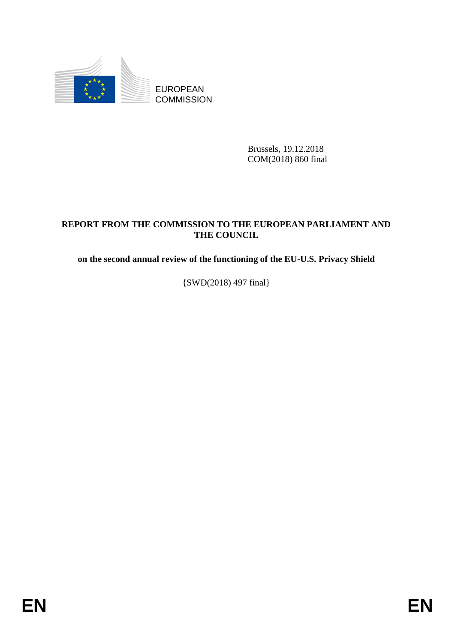

Brussels, 19.12.2018 COM(2018) 860 final

## EUROPEAN<br>
EUROPEAN<br>
COMMISSION<br>
ENEPORT FROM THE COMMISSION<br>
THE COMMISSION<br>
THE COMMISSION<br>
THE COMMISSION TO THE EUROPEAN PARLIAMENT AND<br>
ON the second namual review of the functioning of the EU-U.S. Privacy Shield<br>  $[SWD$ **REPORT FROM THE COMMISSION TO THE EUROPEAN PARLIAMENT AND THE COUNCIL**

**on the second annual review of the functioning of the EU-U.S. Privacy Shield**

{SWD(2018) 497 final}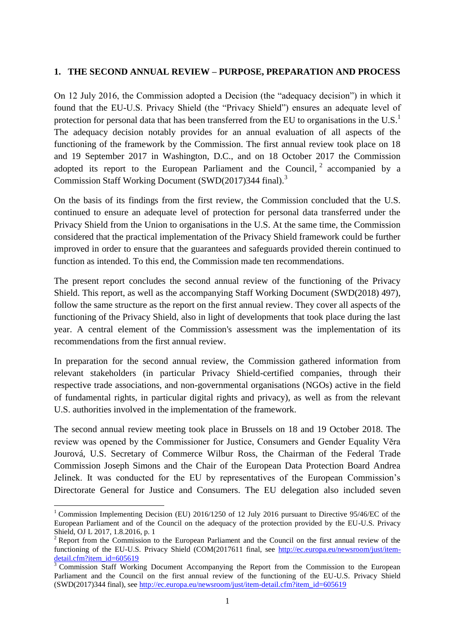## **1. THE SECOND ANNUAL REVIEW – PURPOSE, PREPARATION AND PROCESS**

On 12 July 2016, the Commission adopted a Decision (the "adequacy decision") in which it found that the EU-U.S. Privacy Shield (the "Privacy Shield") ensures an adequate level of protection for personal data that has been transferred from the EU to organisations in the U.S.<sup>1</sup> The adequacy decision notably provides for an annual evaluation of all aspects of the functioning of the framework by the Commission. The first annual review took place on 18 and 19 September 2017 in Washington, D.C., and on 18 October 2017 the Commission adopted its report to the European Parliament and the Council,  $2$  accompanied by a Commission Staff Working Document (SWD(2017)344 final).<sup>3</sup>

On the basis of its findings from the first review, the Commission concluded that the U.S. continued to ensure an adequate level of protection for personal data transferred under the Privacy Shield from the Union to organisations in the U.S. At the same time, the Commission considered that the practical implementation of the Privacy Shield framework could be further improved in order to ensure that the guarantees and safeguards provided therein continued to function as intended. To this end, the Commission made ten recommendations.

The present report concludes the second annual review of the functioning of the Privacy Shield. This report, as well as the accompanying Staff Working Document (SWD(2018) 497), follow the same structure as the report on the first annual review. They cover all aspects of the functioning of the Privacy Shield, also in light of developments that took place during the last year. A central element of the Commission's assessment was the implementation of its recommendations from the first annual review.

In preparation for the second annual review, the Commission gathered information from relevant stakeholders (in particular Privacy Shield-certified companies, through their respective trade associations, and non-governmental organisations (NGOs) active in the field of fundamental rights, in particular digital rights and privacy), as well as from the relevant U.S. authorities involved in the implementation of the framework.

The second annual review meeting took place in Brussels on 18 and 19 October 2018. The review was opened by the Commissioner for Justice, Consumers and Gender Equality Věra Jourová, U.S. Secretary of Commerce Wilbur Ross, the Chairman of the Federal Trade Commission Joseph Simons and the Chair of the European Data Protection Board Andrea Jelinek. It was conducted for the EU by representatives of the European Commission's Directorate General for Justice and Consumers. The EU delegation also included seven

1

<sup>&</sup>lt;sup>1</sup> Commission Implementing Decision (EU) 2016/1250 of 12 July 2016 pursuant to Directive 95/46/EC of the European Parliament and of the Council on the adequacy of the protection provided by the EU-U.S. Privacy Shield, OJ L 2017, 1.8.2016, p. 1

<sup>&</sup>lt;sup>2</sup> Report from the Commission to the European Parliament and the Council on the first annual review of the functioning of the EU-U.S. Privacy Shield (COM(2017611 final, see [http://ec.europa.eu/newsroom/just/item](http://ec.europa.eu/newsroom/just/item-detail.cfm?item_id=605619)[detail.cfm?item\\_id=605619](http://ec.europa.eu/newsroom/just/item-detail.cfm?item_id=605619)

<sup>&</sup>lt;sup>3</sup> Commission Staff Working Document Accompanying the Report from the Commission to the European Parliament and the Council on the first annual review of the functioning of the EU-U.S. Privacy Shield (SWD(2017)344 final), see [http://ec.europa.eu/newsroom/just/item-detail.cfm?item\\_id=605619](http://ec.europa.eu/newsroom/just/item-detail.cfm?item_id=605619)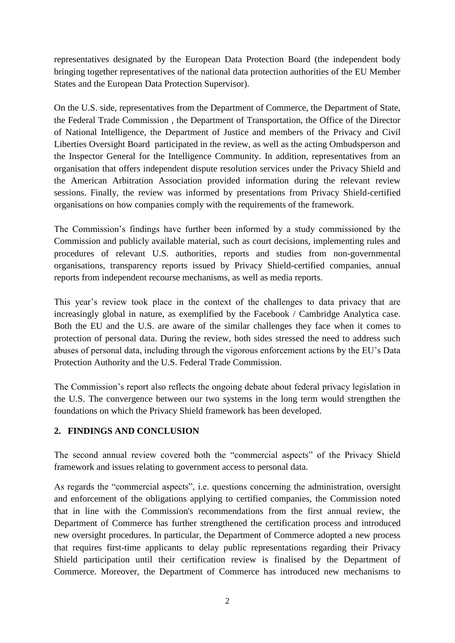representatives designated by the European Data Protection Board (the independent body bringing together representatives of the national data protection authorities of the EU Member States and the European Data Protection Supervisor).

On the U.S. side, representatives from the Department of Commerce, the Department of State, the Federal Trade Commission , the Department of Transportation, the Office of the Director of National Intelligence, the Department of Justice and members of the Privacy and Civil Liberties Oversight Board participated in the review, as well as the acting Ombudsperson and the Inspector General for the Intelligence Community. In addition, representatives from an organisation that offers independent dispute resolution services under the Privacy Shield and the American Arbitration Association provided information during the relevant review sessions. Finally, the review was informed by presentations from Privacy Shield-certified organisations on how companies comply with the requirements of the framework.

The Commission's findings have further been informed by a study commissioned by the Commission and publicly available material, such as court decisions, implementing rules and procedures of relevant U.S. authorities, reports and studies from non-governmental organisations, transparency reports issued by Privacy Shield-certified companies, annual reports from independent recourse mechanisms, as well as media reports.

This year's review took place in the context of the challenges to data privacy that are increasingly global in nature, as exemplified by the Facebook / Cambridge Analytica case. Both the EU and the U.S. are aware of the similar challenges they face when it comes to protection of personal data. During the review, both sides stressed the need to address such abuses of personal data, including through the vigorous enforcement actions by the EU's Data Protection Authority and the U.S. Federal Trade Commission.

The Commission's report also reflects the ongoing debate about federal privacy legislation in the U.S. The convergence between our two systems in the long term would strengthen the foundations on which the Privacy Shield framework has been developed.

## **2. FINDINGS AND CONCLUSION**

The second annual review covered both the "commercial aspects" of the Privacy Shield framework and issues relating to government access to personal data.

As regards the "commercial aspects", i.e. questions concerning the administration, oversight and enforcement of the obligations applying to certified companies, the Commission noted that in line with the Commission's recommendations from the first annual review, the Department of Commerce has further strengthened the certification process and introduced new oversight procedures. In particular, the Department of Commerce adopted a new process that requires first-time applicants to delay public representations regarding their Privacy Shield participation until their certification review is finalised by the Department of Commerce. Moreover, the Department of Commerce has introduced new mechanisms to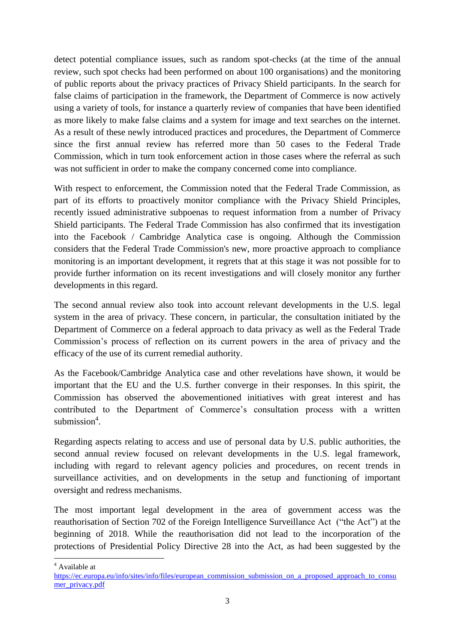detect potential compliance issues, such as random spot-checks (at the time of the annual review, such spot checks had been performed on about 100 organisations) and the monitoring of public reports about the privacy practices of Privacy Shield participants. In the search for false claims of participation in the framework, the Department of Commerce is now actively using a variety of tools, for instance a quarterly review of companies that have been identified as more likely to make false claims and a system for image and text searches on the internet. As a result of these newly introduced practices and procedures, the Department of Commerce since the first annual review has referred more than 50 cases to the Federal Trade Commission, which in turn took enforcement action in those cases where the referral as such was not sufficient in order to make the company concerned come into compliance.

With respect to enforcement, the Commission noted that the Federal Trade Commission, as part of its efforts to proactively monitor compliance with the Privacy Shield Principles, recently issued administrative subpoenas to request information from a number of Privacy Shield participants. The Federal Trade Commission has also confirmed that its investigation into the Facebook / Cambridge Analytica case is ongoing. Although the Commission considers that the Federal Trade Commission's new, more proactive approach to compliance monitoring is an important development, it regrets that at this stage it was not possible for to provide further information on its recent investigations and will closely monitor any further developments in this regard.

The second annual review also took into account relevant developments in the U.S. legal system in the area of privacy. These concern, in particular, the consultation initiated by the Department of Commerce on a federal approach to data privacy as well as the Federal Trade Commission's process of reflection on its current powers in the area of privacy and the efficacy of the use of its current remedial authority.

As the Facebook/Cambridge Analytica case and other revelations have shown, it would be important that the EU and the U.S. further converge in their responses. In this spirit, the Commission has observed the abovementioned initiatives with great interest and has contributed to the Department of Commerce's consultation process with a written  $submission<sup>4</sup>$ .

Regarding aspects relating to access and use of personal data by U.S. public authorities, the second annual review focused on relevant developments in the U.S. legal framework, including with regard to relevant agency policies and procedures, on recent trends in surveillance activities, and on developments in the setup and functioning of important oversight and redress mechanisms.

The most important legal development in the area of government access was the reauthorisation of Section 702 of the Foreign Intelligence Surveillance Act ("the Act") at the beginning of 2018. While the reauthorisation did not lead to the incorporation of the protections of Presidential Policy Directive 28 into the Act, as had been suggested by the

<sup>4</sup> Available at

1

[https://ec.europa.eu/info/sites/info/files/european\\_commission\\_submission\\_on\\_a\\_proposed\\_approach\\_to\\_consu](https://ec.europa.eu/info/sites/info/files/european_commission_submission_on_a_proposed_approach_to_consumer_privacy.pdf) [mer\\_privacy.pdf](https://ec.europa.eu/info/sites/info/files/european_commission_submission_on_a_proposed_approach_to_consumer_privacy.pdf)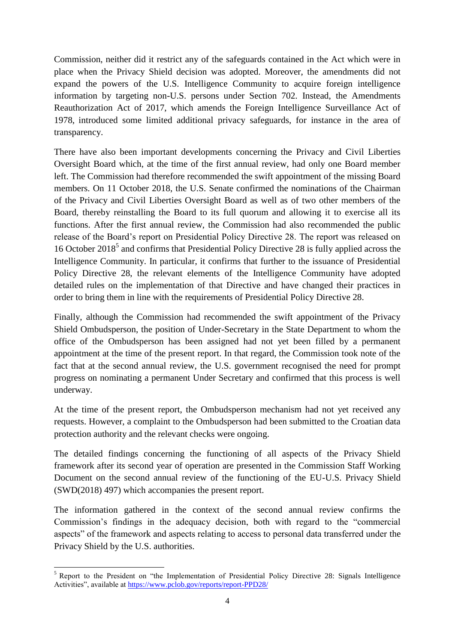Commission, neither did it restrict any of the safeguards contained in the Act which were in place when the Privacy Shield decision was adopted. Moreover, the amendments did not expand the powers of the U.S. Intelligence Community to acquire foreign intelligence information by targeting non-U.S. persons under Section 702. Instead, the Amendments Reauthorization Act of 2017, which amends the Foreign Intelligence Surveillance Act of 1978, introduced some limited additional privacy safeguards, for instance in the area of transparency.

There have also been important developments concerning the Privacy and Civil Liberties Oversight Board which, at the time of the first annual review, had only one Board member left. The Commission had therefore recommended the swift appointment of the missing Board members. On 11 October 2018, the U.S. Senate confirmed the nominations of the Chairman of the Privacy and Civil Liberties Oversight Board as well as of two other members of the Board, thereby reinstalling the Board to its full quorum and allowing it to exercise all its functions. After the first annual review, the Commission had also recommended the public release of the Board's report on Presidential Policy Directive 28. The report was released on 16 October 2018<sup>5</sup> and confirms that Presidential Policy Directive 28 is fully applied across the Intelligence Community. In particular, it confirms that further to the issuance of Presidential Policy Directive 28, the relevant elements of the Intelligence Community have adopted detailed rules on the implementation of that Directive and have changed their practices in order to bring them in line with the requirements of Presidential Policy Directive 28.

Finally, although the Commission had recommended the swift appointment of the Privacy Shield Ombudsperson, the position of Under-Secretary in the State Department to whom the office of the Ombudsperson has been assigned had not yet been filled by a permanent appointment at the time of the present report. In that regard, the Commission took note of the fact that at the second annual review, the U.S. government recognised the need for prompt progress on nominating a permanent Under Secretary and confirmed that this process is well underway.

At the time of the present report, the Ombudsperson mechanism had not yet received any requests. However, a complaint to the Ombudsperson had been submitted to the Croatian data protection authority and the relevant checks were ongoing.

The detailed findings concerning the functioning of all aspects of the Privacy Shield framework after its second year of operation are presented in the Commission Staff Working Document on the second annual review of the functioning of the EU-U.S. Privacy Shield (SWD(2018) 497) which accompanies the present report.

The information gathered in the context of the second annual review confirms the Commission's findings in the adequacy decision, both with regard to the "commercial aspects" of the framework and aspects relating to access to personal data transferred under the Privacy Shield by the U.S. authorities.

<sup>1</sup> <sup>5</sup> Report to the President on "the Implementation of Presidential Policy Directive 28: Signals Intelligence Activities", available at<https://www.pclob.gov/reports/report-PPD28/>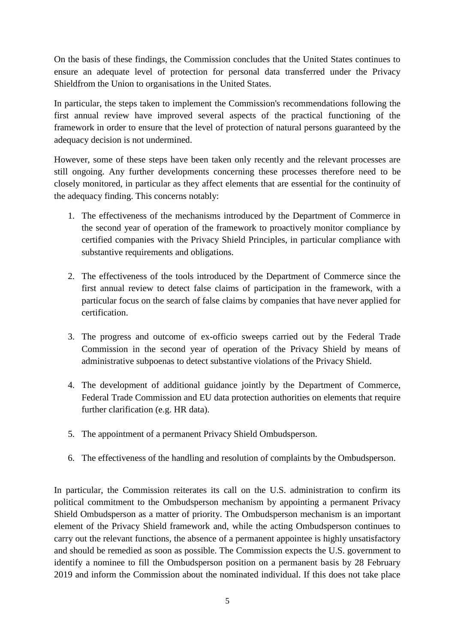On the basis of these findings, the Commission concludes that the United States continues to ensure an adequate level of protection for personal data transferred under the Privacy Shieldfrom the Union to organisations in the United States.

In particular, the steps taken to implement the Commission's recommendations following the first annual review have improved several aspects of the practical functioning of the framework in order to ensure that the level of protection of natural persons guaranteed by the adequacy decision is not undermined.

However, some of these steps have been taken only recently and the relevant processes are still ongoing. Any further developments concerning these processes therefore need to be closely monitored, in particular as they affect elements that are essential for the continuity of the adequacy finding. This concerns notably:

- 1. The effectiveness of the mechanisms introduced by the Department of Commerce in the second year of operation of the framework to proactively monitor compliance by certified companies with the Privacy Shield Principles, in particular compliance with substantive requirements and obligations.
- 2. The effectiveness of the tools introduced by the Department of Commerce since the first annual review to detect false claims of participation in the framework, with a particular focus on the search of false claims by companies that have never applied for certification.
- 3. The progress and outcome of ex-officio sweeps carried out by the Federal Trade Commission in the second year of operation of the Privacy Shield by means of administrative subpoenas to detect substantive violations of the Privacy Shield.
- 4. The development of additional guidance jointly by the Department of Commerce, Federal Trade Commission and EU data protection authorities on elements that require further clarification (e.g. HR data).
- 5. The appointment of a permanent Privacy Shield Ombudsperson.
- 6. The effectiveness of the handling and resolution of complaints by the Ombudsperson.

In particular, the Commission reiterates its call on the U.S. administration to confirm its political commitment to the Ombudsperson mechanism by appointing a permanent Privacy Shield Ombudsperson as a matter of priority. The Ombudsperson mechanism is an important element of the Privacy Shield framework and, while the acting Ombudsperson continues to carry out the relevant functions, the absence of a permanent appointee is highly unsatisfactory and should be remedied as soon as possible. The Commission expects the U.S. government to identify a nominee to fill the Ombudsperson position on a permanent basis by 28 February 2019 and inform the Commission about the nominated individual. If this does not take place